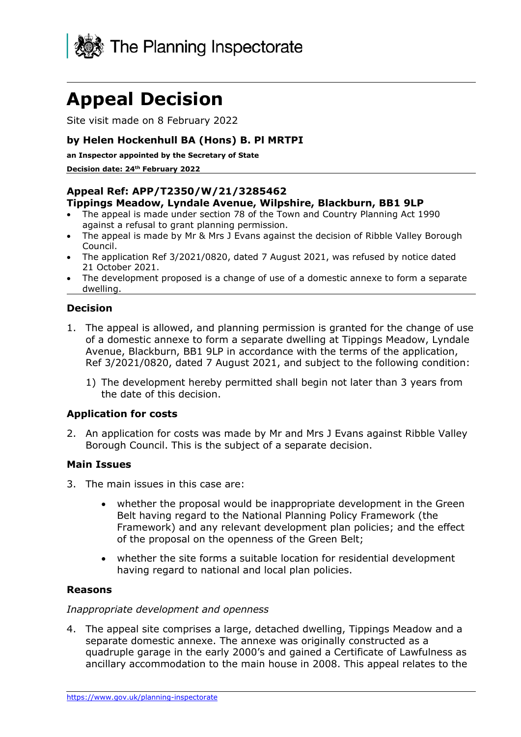

# **Appeal Decision**

Site visit made on 8 February 2022

## **by Helen Hockenhull BA (Hons) B. Pl MRTPI**

**an Inspector appointed by the Secretary of State** 

**Decision date: 24th February 2022**

## **Appeal Ref: APP/T2350/W/21/3285462**

#### **Tippings Meadow, Lyndale Avenue, Wilpshire, Blackburn, BB1 9LP**

- The appeal is made under section 78 of the Town and Country Planning Act 1990 against a refusal to grant planning permission.
- The appeal is made by Mr & Mrs J Evans against the decision of Ribble Valley Borough Council.
- The application Ref 3/2021/0820, dated 7 August 2021, was refused by notice dated 21 October 2021.
- The development proposed is a change of use of a domestic annexe to form a separate dwelling.

## **Decision**

- 1. The appeal is allowed, and planning permission is granted for the change of use of a domestic annexe to form a separate dwelling at Tippings Meadow, Lyndale Avenue, Blackburn, BB1 9LP in accordance with the terms of the application, Ref 3/2021/0820, dated 7 August 2021, and subject to the following condition:
	- 1) The development hereby permitted shall begin not later than 3 years from the date of this decision.

#### **Application for costs**

2. An application for costs was made by Mr and Mrs J Evans against Ribble Valley Borough Council. This is the subject of a separate decision.

#### **Main Issues**

- 3. The main issues in this case are:
	- whether the proposal would be inappropriate development in the Green Belt having regard to the National Planning Policy Framework (the Framework) and any relevant development plan policies; and the effect of the proposal on the openness of the Green Belt;
	- whether the site forms a suitable location for residential development having regard to national and local plan policies.

#### **Reasons**

#### *Inappropriate development and openness*

4. The appeal site comprises a large, detached dwelling, Tippings Meadow and a separate domestic annexe. The annexe was originally constructed as a quadruple garage in the early 2000's and gained a Certificate of Lawfulness as ancillary accommodation to the main house in 2008. This appeal relates to the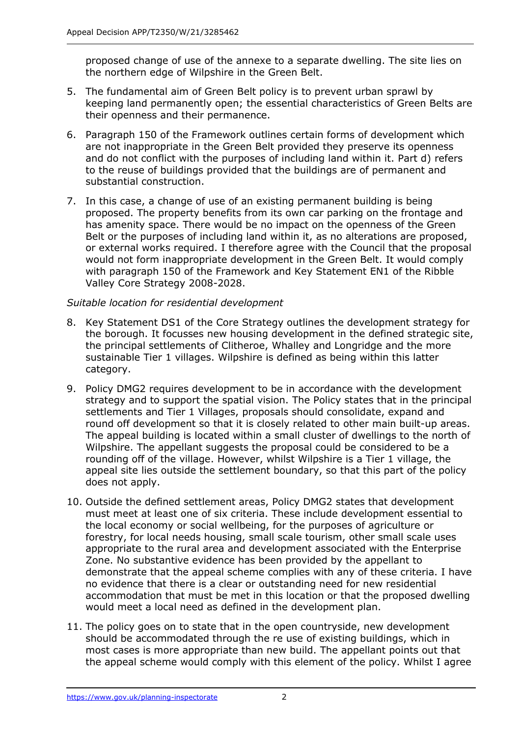proposed change of use of the annexe to a separate dwelling. The site lies on the northern edge of Wilpshire in the Green Belt.

- 5. The fundamental aim of Green Belt policy is to prevent urban sprawl by keeping land permanently open; the essential characteristics of Green Belts are their openness and their permanence.
- 6. Paragraph 150 of the Framework outlines certain forms of development which are not inappropriate in the Green Belt provided they preserve its openness and do not conflict with the purposes of including land within it. Part d) refers to the reuse of buildings provided that the buildings are of permanent and substantial construction.
- 7. In this case, a change of use of an existing permanent building is being proposed. The property benefits from its own car parking on the frontage and has amenity space. There would be no impact on the openness of the Green Belt or the purposes of including land within it, as no alterations are proposed, or external works required. I therefore agree with the Council that the proposal would not form inappropriate development in the Green Belt. It would comply with paragraph 150 of the Framework and Key Statement EN1 of the Ribble Valley Core Strategy 2008-2028.

## *Suitable location for residential development*

- 8. Key Statement DS1 of the Core Strategy outlines the development strategy for the borough. It focusses new housing development in the defined strategic site, the principal settlements of Clitheroe, Whalley and Longridge and the more sustainable Tier 1 villages. Wilpshire is defined as being within this latter category.
- 9. Policy DMG2 requires development to be in accordance with the development strategy and to support the spatial vision. The Policy states that in the principal settlements and Tier 1 Villages, proposals should consolidate, expand and round off development so that it is closely related to other main built-up areas. The appeal building is located within a small cluster of dwellings to the north of Wilpshire. The appellant suggests the proposal could be considered to be a rounding off of the village. However, whilst Wilpshire is a Tier 1 village, the appeal site lies outside the settlement boundary, so that this part of the policy does not apply.
- 10. Outside the defined settlement areas, Policy DMG2 states that development must meet at least one of six criteria. These include development essential to the local economy or social wellbeing, for the purposes of agriculture or forestry, for local needs housing, small scale tourism, other small scale uses appropriate to the rural area and development associated with the Enterprise Zone. No substantive evidence has been provided by the appellant to demonstrate that the appeal scheme complies with any of these criteria. I have no evidence that there is a clear or outstanding need for new residential accommodation that must be met in this location or that the proposed dwelling would meet a local need as defined in the development plan.
- 11. The policy goes on to state that in the open countryside, new development should be accommodated through the re use of existing buildings, which in most cases is more appropriate than new build. The appellant points out that the appeal scheme would comply with this element of the policy. Whilst I agree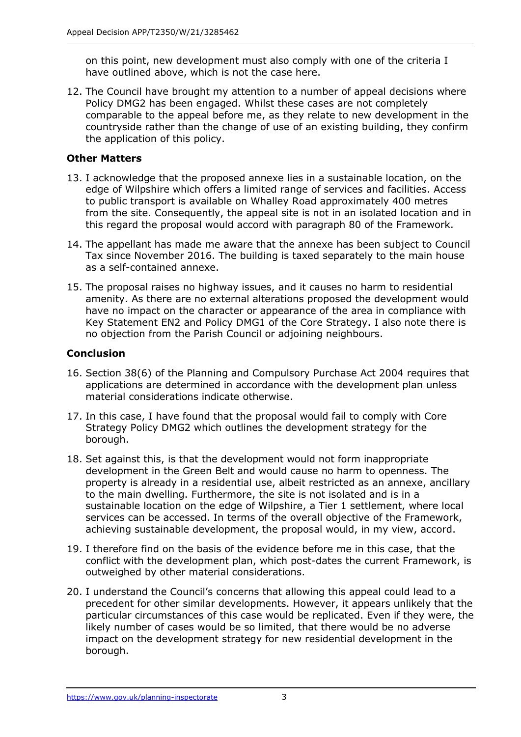on this point, new development must also comply with one of the criteria I have outlined above, which is not the case here.

12. The Council have brought my attention to a number of appeal decisions where Policy DMG2 has been engaged. Whilst these cases are not completely comparable to the appeal before me, as they relate to new development in the countryside rather than the change of use of an existing building, they confirm the application of this policy.

# **Other Matters**

- 13. I acknowledge that the proposed annexe lies in a sustainable location, on the edge of Wilpshire which offers a limited range of services and facilities. Access to public transport is available on Whalley Road approximately 400 metres from the site. Consequently, the appeal site is not in an isolated location and in this regard the proposal would accord with paragraph 80 of the Framework.
- 14. The appellant has made me aware that the annexe has been subject to Council Tax since November 2016. The building is taxed separately to the main house as a self-contained annexe.
- 15. The proposal raises no highway issues, and it causes no harm to residential amenity. As there are no external alterations proposed the development would have no impact on the character or appearance of the area in compliance with Key Statement EN2 and Policy DMG1 of the Core Strategy. I also note there is no objection from the Parish Council or adjoining neighbours.

# **Conclusion**

- 16. Section 38(6) of the Planning and Compulsory Purchase Act 2004 requires that applications are determined in accordance with the development plan unless material considerations indicate otherwise.
- 17. In this case, I have found that the proposal would fail to comply with Core Strategy Policy DMG2 which outlines the development strategy for the borough.
- 18. Set against this, is that the development would not form inappropriate development in the Green Belt and would cause no harm to openness. The property is already in a residential use, albeit restricted as an annexe, ancillary to the main dwelling. Furthermore, the site is not isolated and is in a sustainable location on the edge of Wilpshire, a Tier 1 settlement, where local services can be accessed. In terms of the overall objective of the Framework, achieving sustainable development, the proposal would, in my view, accord.
- 19. I therefore find on the basis of the evidence before me in this case, that the conflict with the development plan, which post-dates the current Framework, is outweighed by other material considerations.
- 20. I understand the Council's concerns that allowing this appeal could lead to a precedent for other similar developments. However, it appears unlikely that the particular circumstances of this case would be replicated. Even if they were, the likely number of cases would be so limited, that there would be no adverse impact on the development strategy for new residential development in the borough.